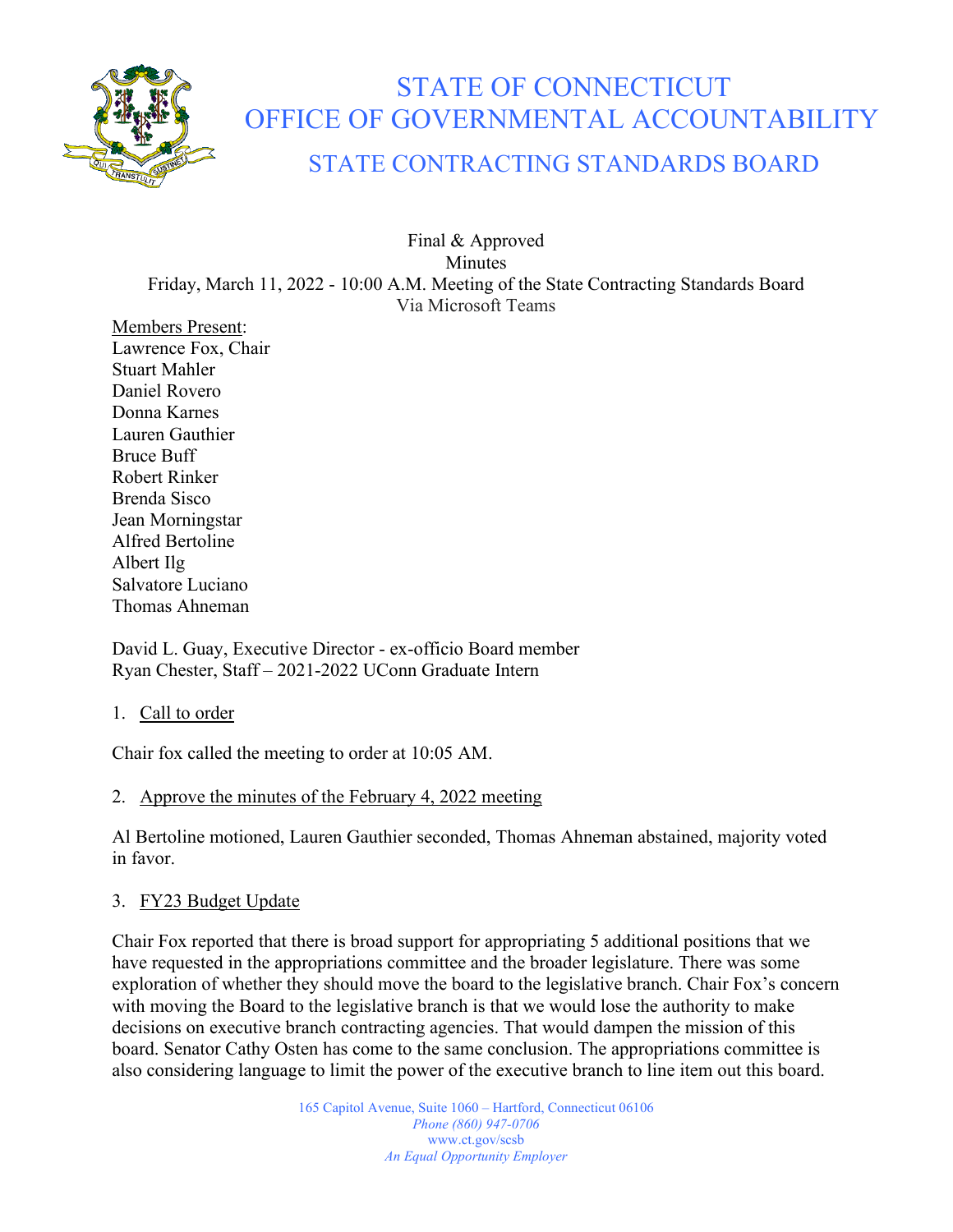

# STATE OF CONNECTICUT OFFICE OF GOVERNMENTAL ACCOUNTABILITY

# STATE CONTRACTING STANDARDS BOARD

Final & Approved Minutes Friday, March 11, 2022 - 10:00 A.M. Meeting of the State Contracting Standards Board Via Microsoft Teams

Members Present: Lawrence Fox, Chair Stuart Mahler Daniel Rovero Donna Karnes Lauren Gauthier Bruce Buff Robert Rinker Brenda Sisco Jean Morningstar Alfred Bertoline Albert Ilg Salvatore Luciano Thomas Ahneman

David L. Guay, Executive Director - ex-officio Board member Ryan Chester, Staff – 2021-2022 UConn Graduate Intern

1. Call to order

Chair fox called the meeting to order at 10:05 AM.

## 2. Approve the minutes of the February 4, 2022 meeting

Al Bertoline motioned, Lauren Gauthier seconded, Thomas Ahneman abstained, majority voted in favor.

### 3. FY23 Budget Update

Chair Fox reported that there is broad support for appropriating 5 additional positions that we have requested in the appropriations committee and the broader legislature. There was some exploration of whether they should move the board to the legislative branch. Chair Fox's concern with moving the Board to the legislative branch is that we would lose the authority to make decisions on executive branch contracting agencies. That would dampen the mission of this board. Senator Cathy Osten has come to the same conclusion. The appropriations committee is also considering language to limit the power of the executive branch to line item out this board.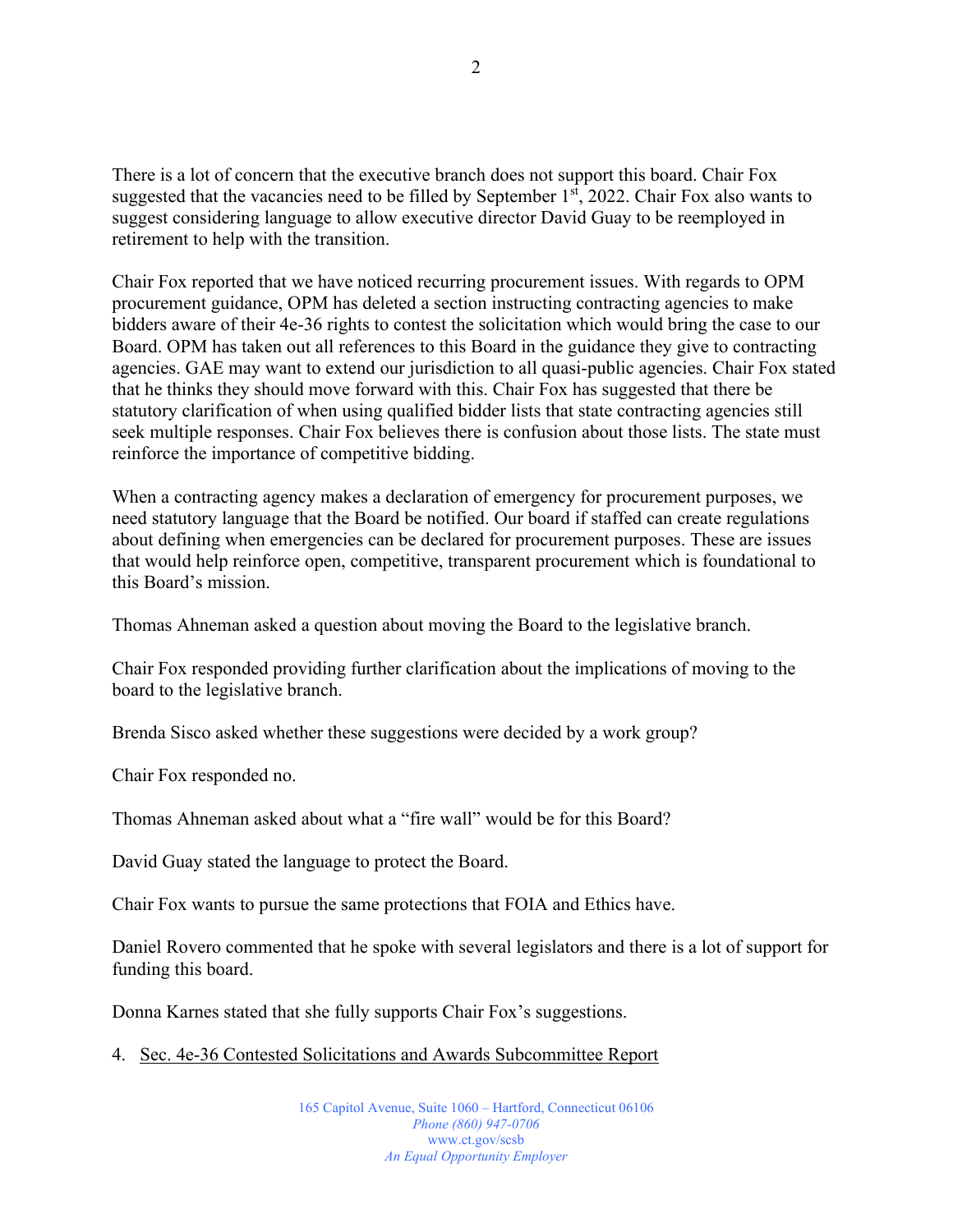There is a lot of concern that the executive branch does not support this board. Chair Fox suggested that the vacancies need to be filled by September  $1<sup>st</sup>$ , 2022. Chair Fox also wants to suggest considering language to allow executive director David Guay to be reemployed in retirement to help with the transition.

Chair Fox reported that we have noticed recurring procurement issues. With regards to OPM procurement guidance, OPM has deleted a section instructing contracting agencies to make bidders aware of their 4e-36 rights to contest the solicitation which would bring the case to our Board. OPM has taken out all references to this Board in the guidance they give to contracting agencies. GAE may want to extend our jurisdiction to all quasi-public agencies. Chair Fox stated that he thinks they should move forward with this. Chair Fox has suggested that there be statutory clarification of when using qualified bidder lists that state contracting agencies still seek multiple responses. Chair Fox believes there is confusion about those lists. The state must reinforce the importance of competitive bidding.

When a contracting agency makes a declaration of emergency for procurement purposes, we need statutory language that the Board be notified. Our board if staffed can create regulations about defining when emergencies can be declared for procurement purposes. These are issues that would help reinforce open, competitive, transparent procurement which is foundational to this Board's mission.

Thomas Ahneman asked a question about moving the Board to the legislative branch.

Chair Fox responded providing further clarification about the implications of moving to the board to the legislative branch.

Brenda Sisco asked whether these suggestions were decided by a work group?

Chair Fox responded no.

Thomas Ahneman asked about what a "fire wall" would be for this Board?

David Guay stated the language to protect the Board.

Chair Fox wants to pursue the same protections that FOIA and Ethics have.

Daniel Rovero commented that he spoke with several legislators and there is a lot of support for funding this board.

Donna Karnes stated that she fully supports Chair Fox's suggestions.

4. Sec. 4e-36 Contested Solicitations and Awards Subcommittee Report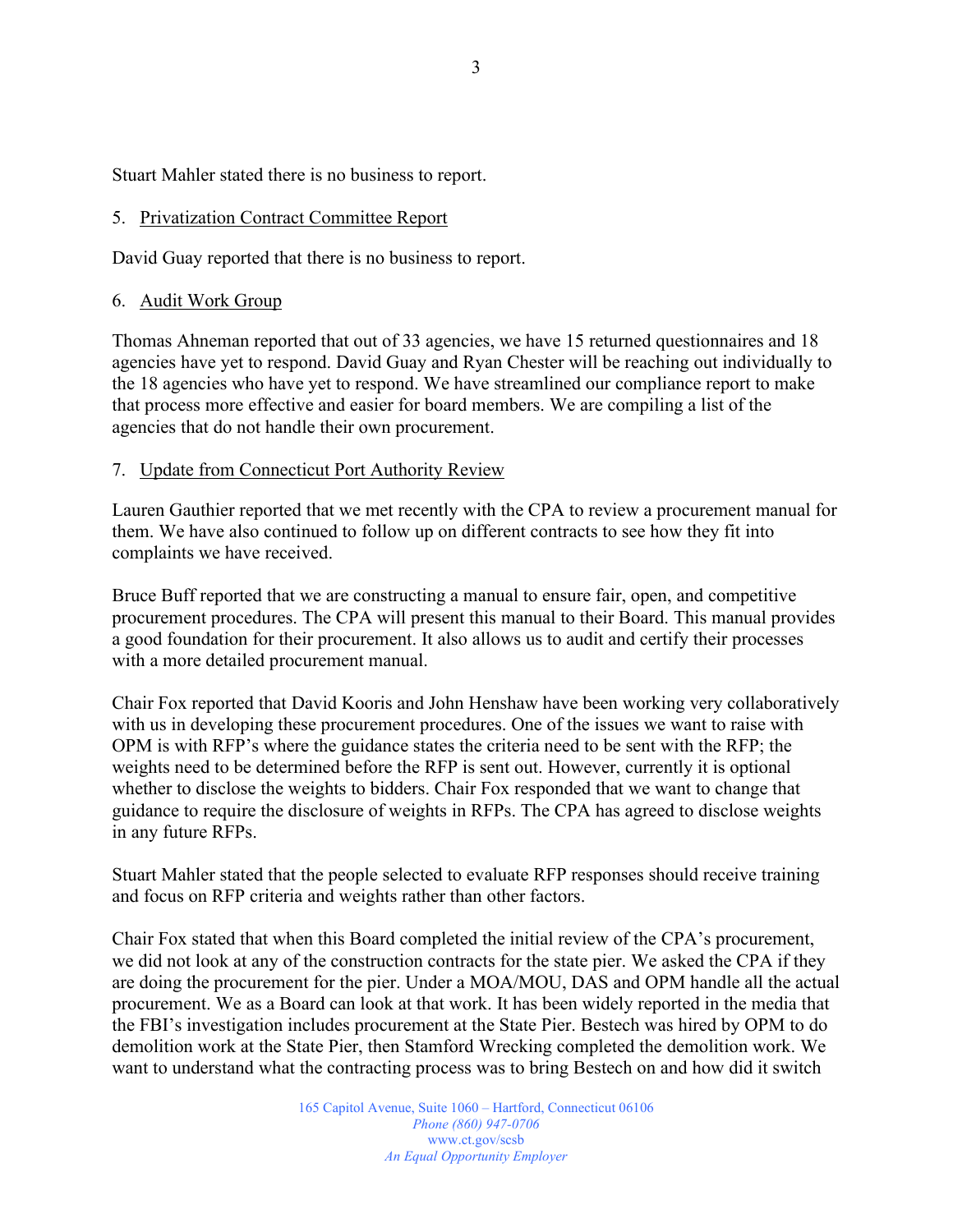Stuart Mahler stated there is no business to report.

#### 5. Privatization Contract Committee Report

David Guay reported that there is no business to report.

#### 6. Audit Work Group

Thomas Ahneman reported that out of 33 agencies, we have 15 returned questionnaires and 18 agencies have yet to respond. David Guay and Ryan Chester will be reaching out individually to the 18 agencies who have yet to respond. We have streamlined our compliance report to make that process more effective and easier for board members. We are compiling a list of the agencies that do not handle their own procurement.

#### 7. Update from Connecticut Port Authority Review

Lauren Gauthier reported that we met recently with the CPA to review a procurement manual for them. We have also continued to follow up on different contracts to see how they fit into complaints we have received.

Bruce Buff reported that we are constructing a manual to ensure fair, open, and competitive procurement procedures. The CPA will present this manual to their Board. This manual provides a good foundation for their procurement. It also allows us to audit and certify their processes with a more detailed procurement manual.

Chair Fox reported that David Kooris and John Henshaw have been working very collaboratively with us in developing these procurement procedures. One of the issues we want to raise with OPM is with RFP's where the guidance states the criteria need to be sent with the RFP; the weights need to be determined before the RFP is sent out. However, currently it is optional whether to disclose the weights to bidders. Chair Fox responded that we want to change that guidance to require the disclosure of weights in RFPs. The CPA has agreed to disclose weights in any future RFPs.

Stuart Mahler stated that the people selected to evaluate RFP responses should receive training and focus on RFP criteria and weights rather than other factors.

Chair Fox stated that when this Board completed the initial review of the CPA's procurement, we did not look at any of the construction contracts for the state pier. We asked the CPA if they are doing the procurement for the pier. Under a MOA/MOU, DAS and OPM handle all the actual procurement. We as a Board can look at that work. It has been widely reported in the media that the FBI's investigation includes procurement at the State Pier. Bestech was hired by OPM to do demolition work at the State Pier, then Stamford Wrecking completed the demolition work. We want to understand what the contracting process was to bring Bestech on and how did it switch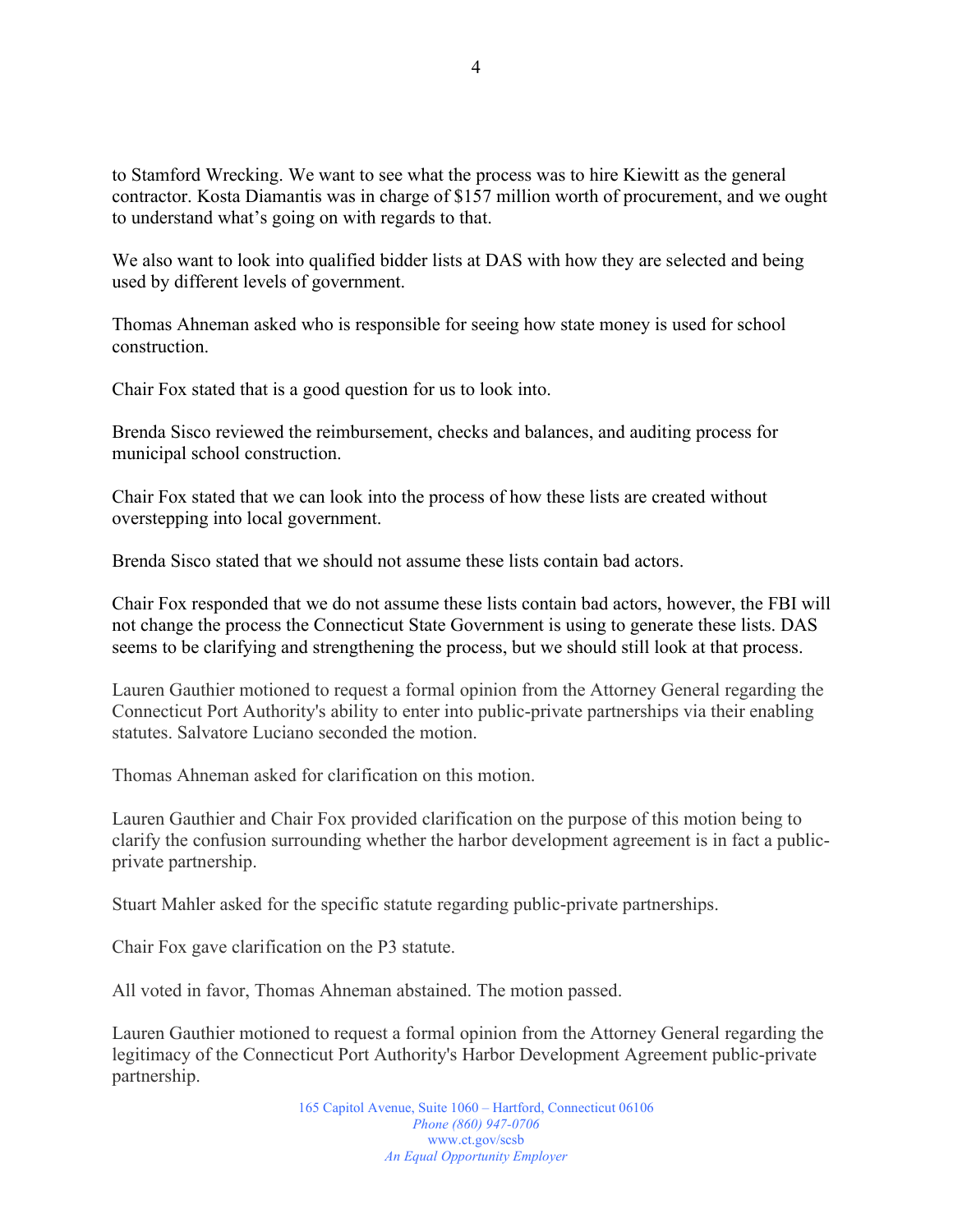to Stamford Wrecking. We want to see what the process was to hire Kiewitt as the general contractor. Kosta Diamantis was in charge of \$157 million worth of procurement, and we ought to understand what's going on with regards to that.

We also want to look into qualified bidder lists at DAS with how they are selected and being used by different levels of government.

Thomas Ahneman asked who is responsible for seeing how state money is used for school construction.

Chair Fox stated that is a good question for us to look into.

Brenda Sisco reviewed the reimbursement, checks and balances, and auditing process for municipal school construction.

Chair Fox stated that we can look into the process of how these lists are created without overstepping into local government.

Brenda Sisco stated that we should not assume these lists contain bad actors.

Chair Fox responded that we do not assume these lists contain bad actors, however, the FBI will not change the process the Connecticut State Government is using to generate these lists. DAS seems to be clarifying and strengthening the process, but we should still look at that process.

Lauren Gauthier motioned to request a formal opinion from the Attorney General regarding the Connecticut Port Authority's ability to enter into public-private partnerships via their enabling statutes. Salvatore Luciano seconded the motion.

Thomas Ahneman asked for clarification on this motion.

Lauren Gauthier and Chair Fox provided clarification on the purpose of this motion being to clarify the confusion surrounding whether the harbor development agreement is in fact a publicprivate partnership.

Stuart Mahler asked for the specific statute regarding public-private partnerships.

Chair Fox gave clarification on the P3 statute.

All voted in favor, Thomas Ahneman abstained. The motion passed.

Lauren Gauthier motioned to request a formal opinion from the Attorney General regarding the legitimacy of the Connecticut Port Authority's Harbor Development Agreement public-private partnership.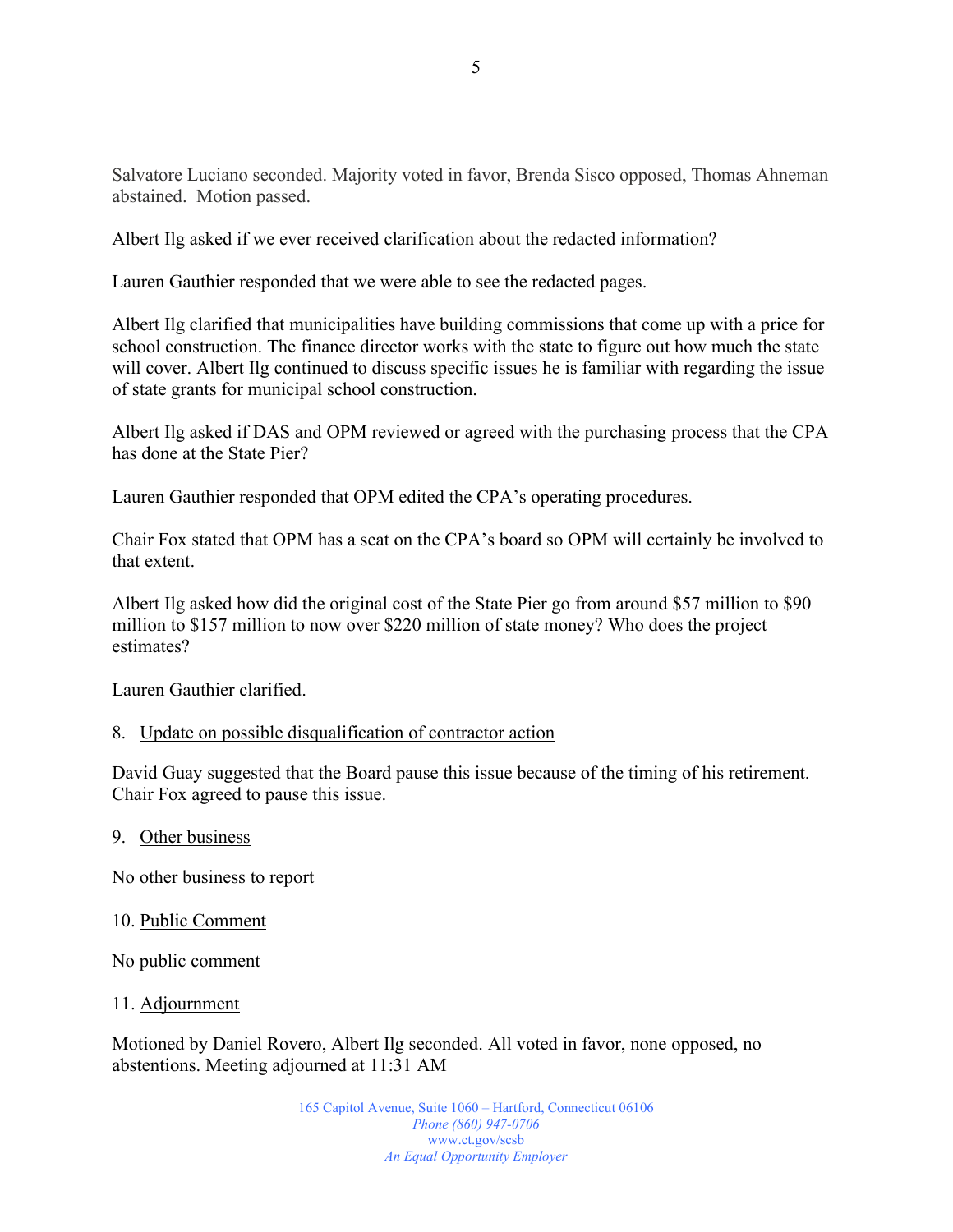Salvatore Luciano seconded. Majority voted in favor, Brenda Sisco opposed, Thomas Ahneman abstained. Motion passed.

Albert Ilg asked if we ever received clarification about the redacted information?

Lauren Gauthier responded that we were able to see the redacted pages.

Albert Ilg clarified that municipalities have building commissions that come up with a price for school construction. The finance director works with the state to figure out how much the state will cover. Albert Ilg continued to discuss specific issues he is familiar with regarding the issue of state grants for municipal school construction.

Albert Ilg asked if DAS and OPM reviewed or agreed with the purchasing process that the CPA has done at the State Pier?

Lauren Gauthier responded that OPM edited the CPA's operating procedures.

Chair Fox stated that OPM has a seat on the CPA's board so OPM will certainly be involved to that extent.

Albert Ilg asked how did the original cost of the State Pier go from around \$57 million to \$90 million to \$157 million to now over \$220 million of state money? Who does the project estimates?

Lauren Gauthier clarified.

#### 8. Update on possible disqualification of contractor action

David Guay suggested that the Board pause this issue because of the timing of his retirement. Chair Fox agreed to pause this issue.

#### 9. Other business

No other business to report

#### 10. Public Comment

No public comment

11. Adjournment

Motioned by Daniel Rovero, Albert Ilg seconded. All voted in favor, none opposed, no abstentions. Meeting adjourned at 11:31 AM